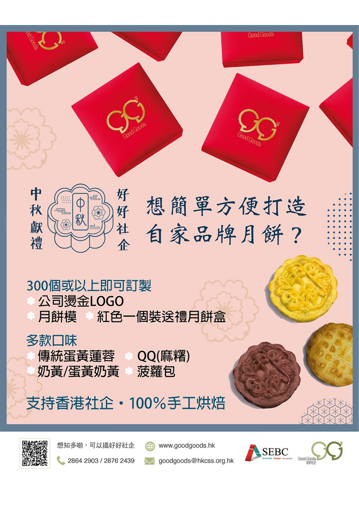



## 300個或以上即可訂製 公司燙金LOGO 月餅模 紅色一個裝送禮月餅盒

# 多款口味 傳統蛋黃蓮蓉 奶黃/蛋黃奶黃

QQ(麻糬) 菠蘿包

# 支持香港社企·100%手工烘焙



想知多啲,可以揾好好社企

2864 2903 / 2876 2439



www.goodgoods.hk